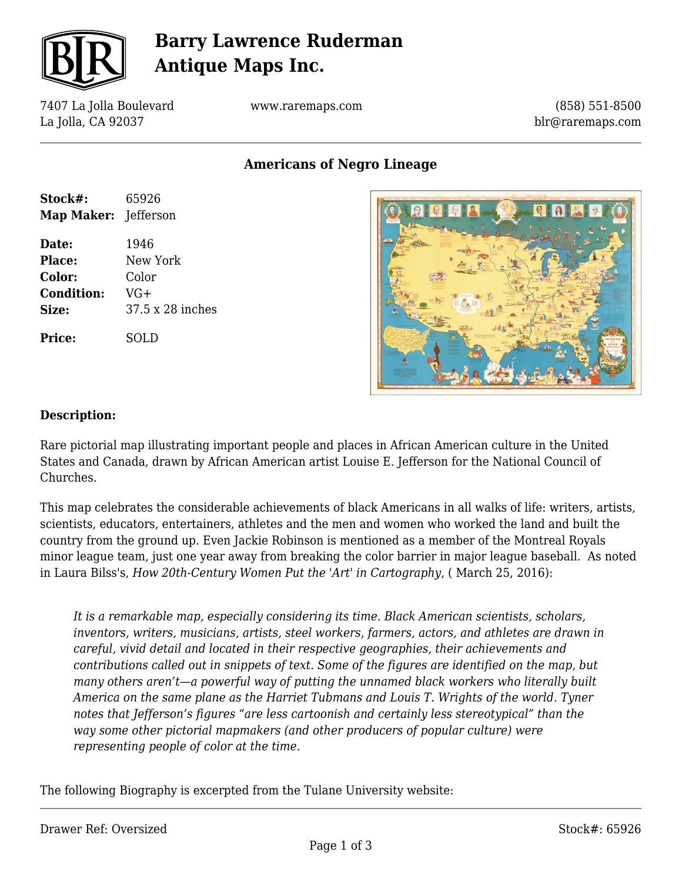

# **Barry Lawrence Ruderman Antique Maps Inc.**

7407 La Jolla Boulevard La Jolla, CA 92037

www.raremaps.com

(858) 551-8500 blr@raremaps.com

**Americans of Negro Lineage**

| Stock#:<br><b>Map Maker:</b> Jefferson | 65926            |
|----------------------------------------|------------------|
| Date:                                  | 1946             |
| Place:                                 | New York         |
| Color:                                 | Color            |
| <b>Condition:</b>                      | $VG+$            |
| Size:                                  | 37.5 x 28 inches |
| Price:                                 | SOLD             |



#### **Description:**

Rare pictorial map illustrating important people and places in African American culture in the United States and Canada, drawn by African American artist Louise E. Jefferson for the National Council of Churches.

This map celebrates the considerable achievements of black Americans in all walks of life: writers, artists, scientists, educators, entertainers, athletes and the men and women who worked the land and built the country from the ground up. Even Jackie Robinson is mentioned as a member of the Montreal Royals minor league team, just one year away from breaking the color barrier in major league baseball. As noted in Laura Bilss's, *How 20th-Century Women Put the 'Art' in Cartography*, ( March 25, 2016):

*It is a remarkable map, especially considering its time. Black American scientists, scholars, inventors, writers, musicians, artists, steel workers, farmers, actors, and athletes are drawn in careful, vivid detail and located in their respective geographies, their achievements and contributions called out in snippets of text. Some of the figures are identified on the map, but many others aren't—a powerful way of putting the unnamed black workers who literally built America on the same plane as the Harriet Tubmans and Louis T. Wrights of the world. Tyner notes that Jefferson's figures "are less cartoonish and certainly less stereotypical" than the way some other pictorial mapmakers (and other producers of popular culture) were representing people of color at the time.*

The following Biography is excerpted from the Tulane University website: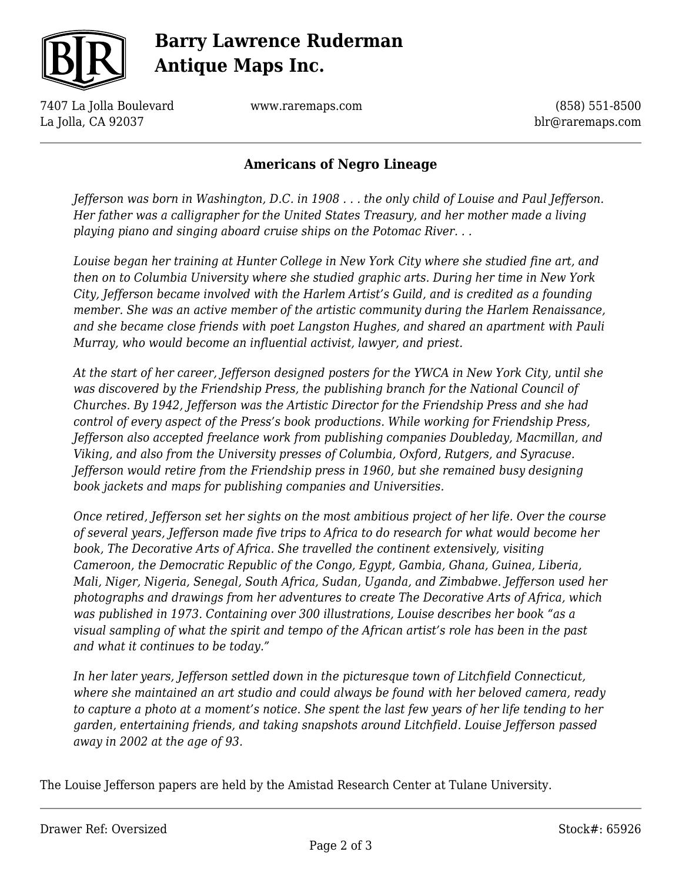

# **Barry Lawrence Ruderman Antique Maps Inc.**

7407 La Jolla Boulevard La Jolla, CA 92037

www.raremaps.com

(858) 551-8500 blr@raremaps.com

### **Americans of Negro Lineage**

*Jefferson was born in Washington, D.C. in 1908 . . . the only child of Louise and Paul Jefferson. Her father was a calligrapher for the United States Treasury, and her mother made a living playing piano and singing aboard cruise ships on the Potomac River. . .* 

*Louise began her training at Hunter College in New York City where she studied fine art, and then on to Columbia University where she studied graphic arts. During her time in New York City, Jefferson became involved with the Harlem Artist's Guild, and is credited as a founding member. She was an active member of the artistic community during the Harlem Renaissance, and she became close friends with poet Langston Hughes, and shared an apartment with Pauli Murray, who would become an influential activist, lawyer, and priest.*

*At the start of her career, Jefferson designed posters for the YWCA in New York City, until she was discovered by the Friendship Press, the publishing branch for the National Council of Churches. By 1942, Jefferson was the Artistic Director for the Friendship Press and she had control of every aspect of the Press's book productions. While working for Friendship Press, Jefferson also accepted freelance work from publishing companies Doubleday, Macmillan, and Viking, and also from the University presses of Columbia, Oxford, Rutgers, and Syracuse. Jefferson would retire from the Friendship press in 1960, but she remained busy designing book jackets and maps for publishing companies and Universities.*

*Once retired, Jefferson set her sights on the most ambitious project of her life. Over the course of several years, Jefferson made five trips to Africa to do research for what would become her book, The Decorative Arts of Africa. She travelled the continent extensively, visiting Cameroon, the Democratic Republic of the Congo, Egypt, Gambia, Ghana, Guinea, Liberia, Mali, Niger, Nigeria, Senegal, South Africa, Sudan, Uganda, and Zimbabwe. Jefferson used her photographs and drawings from her adventures to create The Decorative Arts of Africa, which was published in 1973. Containing over 300 illustrations, Louise describes her book "as a visual sampling of what the spirit and tempo of the African artist's role has been in the past and what it continues to be today."*

*In her later years, Jefferson settled down in the picturesque town of Litchfield Connecticut, where she maintained an art studio and could always be found with her beloved camera, ready to capture a photo at a moment's notice. She spent the last few years of her life tending to her garden, entertaining friends, and taking snapshots around Litchfield. Louise Jefferson passed away in 2002 at the age of 93.*

The Louise Jefferson papers are held by the Amistad Research Center at Tulane University.